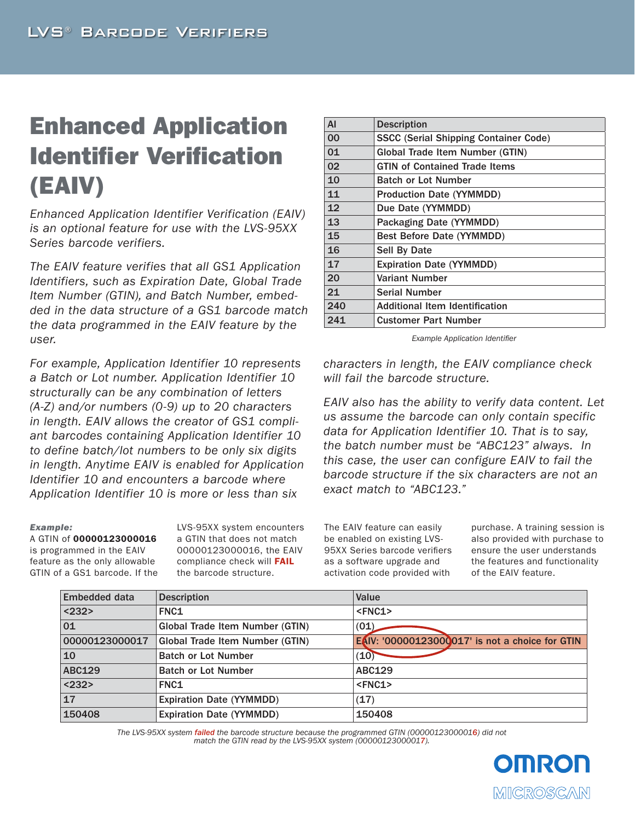# Enhanced Application Identifier Verification (EAIV)

*Enhanced Application Identifier Verification (EAIV) is an optional feature for use with the LVS-95XX Series barcode verifiers.* 

*The EAIV feature verifies that all GS1 Application Identifiers, such as Expiration Date, Global Trade Item Number (GTIN), and Batch Number, embedded in the data structure of a GS1 barcode match the data programmed in the EAIV feature by the user.* 

*For example, Application Identifier 10 represents a Batch or Lot number. Application Identifier 10 structurally can be any combination of letters (A-Z) and/or numbers (0-9) up to 20 characters in length. EAIV allows the creator of GS1 compliant barcodes containing Application Identifier 10 to define batch/lot numbers to be only six digits in length. Anytime EAIV is enabled for Application Identifier 10 and encounters a barcode where Application Identifier 10 is more or less than six* 

#### *Example:*

A GTIN of 00000123000016 is programmed in the EAIV feature as the only allowable GTIN of a GS1 barcode. If the LVS-95XX system encounters a GTIN that does not match 00000123000016, the EAIV compliance check will FAIL the barcode structure.

| AI  | <b>Description</b>                           |  |
|-----|----------------------------------------------|--|
| 00  | <b>SSCC (Serial Shipping Container Code)</b> |  |
| 01  | Global Trade Item Number (GTIN)              |  |
| 02  | <b>GTIN of Contained Trade Items</b>         |  |
| 10  | <b>Batch or Lot Number</b>                   |  |
| 11  | <b>Production Date (YYMMDD)</b>              |  |
| 12  | Due Date (YYMMDD)                            |  |
| 13  | <b>Packaging Date (YYMMDD)</b>               |  |
| 15  | <b>Best Before Date (YYMMDD)</b>             |  |
| 16  | <b>Sell By Date</b>                          |  |
| 17  | <b>Expiration Date (YYMMDD)</b>              |  |
| 20  | <b>Variant Number</b>                        |  |
| 21  | Serial Number                                |  |
| 240 | <b>Additional Item Identification</b>        |  |
| 241 | <b>Customer Part Number</b>                  |  |

*Example Application Identifier*

*characters in length, the EAIV compliance check will fail the barcode structure.* 

*EAIV also has the ability to verify data content. Let us assume the barcode can only contain specific data for Application Identifier 10. That is to say, the batch number must be "ABC123" always. In this case, the user can configure EAIV to fail the barcode structure if the six characters are not an exact match to "ABC123."* 

The EAIV feature can easily be enabled on existing LVS-95XX Series barcode verifiers as a software upgrade and activation code provided with

purchase. A training session is also provided with purchase to ensure the user understands the features and functionality of the EAIV feature.

| <b>Embedded data</b> | <b>Description</b>                     | Value                                           |
|----------------------|----------------------------------------|-------------------------------------------------|
| $ 232\rangle$        | FNC <sub>1</sub>                       | $<$ FNC1>                                       |
| 01                   | <b>Global Trade Item Number (GTIN)</b> | (01)                                            |
| 00000123000017       | <b>Global Trade Item Number (GTIN)</b> | EAIV: '00000123000017' is not a choice for GTIN |
| 10                   | <b>Batch or Lot Number</b>             | (10)                                            |
| <b>ABC129</b>        | <b>Batch or Lot Number</b>             | <b>ABC129</b>                                   |
| $ 232\rangle$        | FNC <sub>1</sub>                       | $<$ FNC1>                                       |
| $\overline{17}$      | <b>Expiration Date (YYMMDD)</b>        | (17)                                            |
| 150408               | <b>Expiration Date (YYMMDD)</b>        | 150408                                          |

*The LVS-95XX system failed the barcode structure because the programmed GTIN (00000123000016) did not match the GTIN read by the LVS-95XX system (00000123000017).* 

> **OINRO** IMIICROSCAN